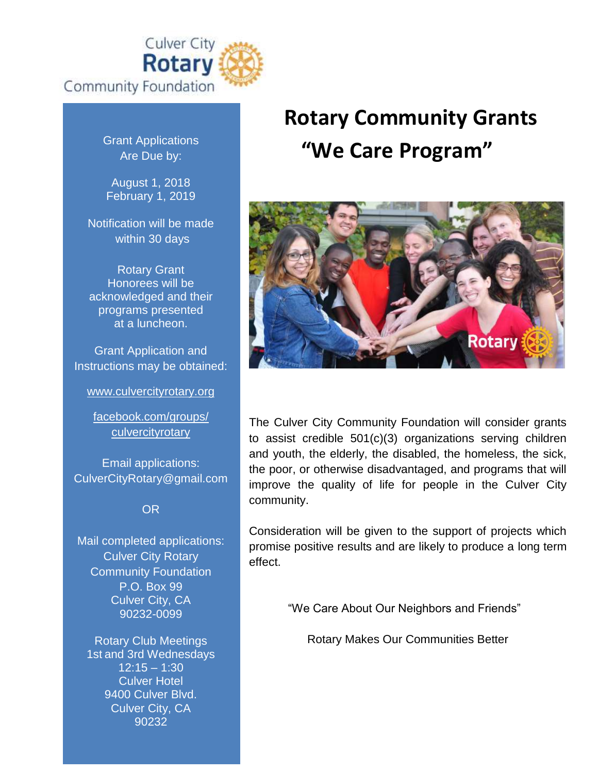

Grant Applications Are Due by:

August 1, 2018 February 1, 2019

Notification will be made within 30 days

Rotary Grant Honorees will be acknowledged and their programs presented at a luncheon.

Grant Application and Instructions may be obtained:

[www.culvercityrotary.org](http://www.culvercityrotary.org/)

facebook.com/groups/ culvercityrotary

Email applications: [CulverCityRotary@gmail.com](mailto:CulverCityRotary@gmail.com)

### OR

Mail completed applications: Culver City Rotary Community Foundation P.O. Box 99 Culver City, CA 90232-0099

Rotary Club Meetings 1st and 3rd Wednesdays  $12:15 - 1:30$ Culver Hotel 9400 Culver Blvd. Culver City, CA 90232

# **Rotary Community Grants "We Care Program"**



The Culver City Community Foundation will consider grants to assist credible 501(c)(3) organizations serving children and youth, the elderly, the disabled, the homeless, the sick, the poor, or otherwise disadvantaged, and programs that will improve the quality of life for people in the Culver City community.

Consideration will be given to the support of projects which promise positive results and are likely to produce a long term effect.

"We Care About Our Neighbors and Friends"

Rotary Makes Our Communities Better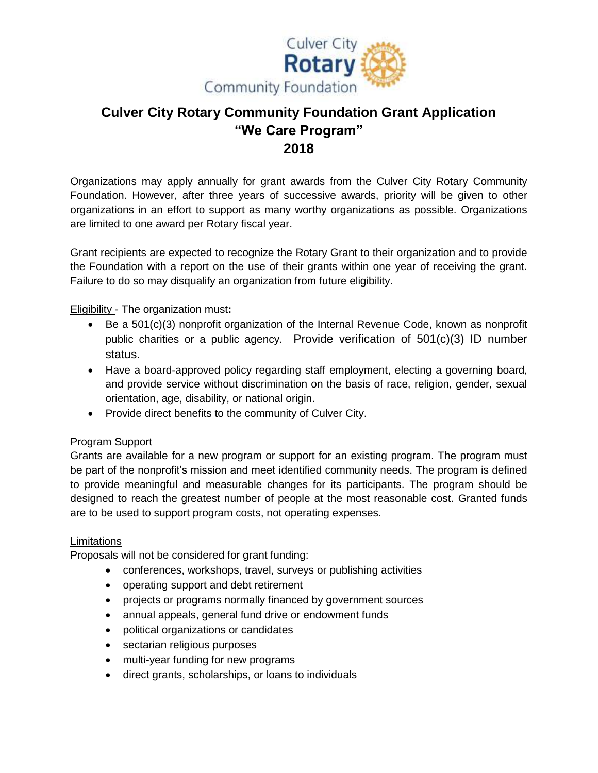

### **Culver City Rotary Community Foundation Grant Application "We Care Program" 2018**

Organizations may apply annually for grant awards from the Culver City Rotary Community Foundation. However, after three years of successive awards, priority will be given to other organizations in an effort to support as many worthy organizations as possible. Organizations are limited to one award per Rotary fiscal year.

Grant recipients are expected to recognize the Rotary Grant to their organization and to provide the Foundation with a report on the use of their grants within one year of receiving the grant. Failure to do so may disqualify an organization from future eligibility.

Eligibility - The organization must**:**

- Be a 501(c)(3) nonprofit organization of the Internal Revenue Code, known as nonprofit public charities or a public agency. Provide verification of 501(c)(3) ID number status.
- Have a board-approved policy regarding staff employment, electing a governing board, and provide service without discrimination on the basis of race, religion, gender, sexual orientation, age, disability, or national origin.
- Provide direct benefits to the community of Culver City.

### Program Support

Grants are available for a new program or support for an existing program. The program must be part of the nonprofit's mission and meet identified community needs. The program is defined to provide meaningful and measurable changes for its participants. The program should be designed to reach the greatest number of people at the most reasonable cost. Granted funds are to be used to support program costs, not operating expenses.

### **Limitations**

Proposals will not be considered for grant funding:

- conferences, workshops, travel, surveys or publishing activities
- operating support and debt retirement
- projects or programs normally financed by government sources
- annual appeals, general fund drive or endowment funds
- political organizations or candidates
- sectarian religious purposes
- multi-year funding for new programs
- direct grants, scholarships, or loans to individuals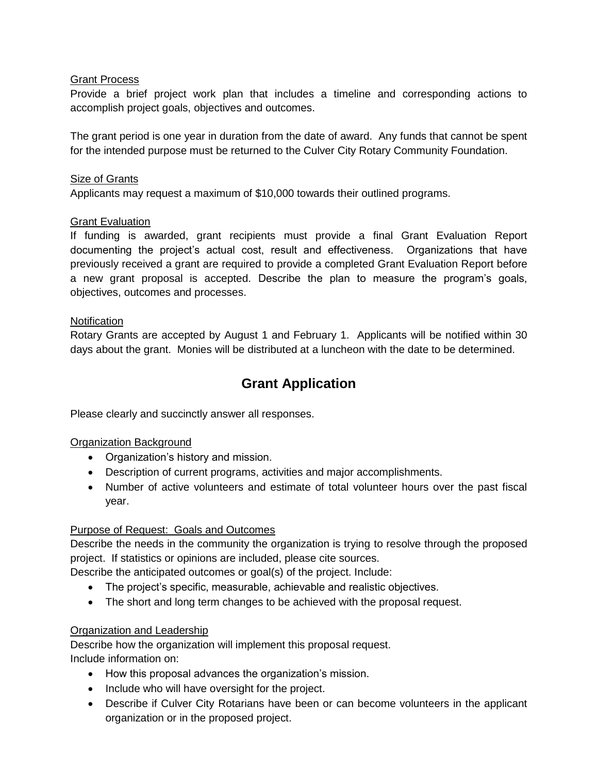### Grant Process

Provide a brief project work plan that includes a timeline and corresponding actions to accomplish project goals, objectives and outcomes.

The grant period is one year in duration from the date of award. Any funds that cannot be spent for the intended purpose must be returned to the Culver City Rotary Community Foundation.

### Size of Grants

Applicants may request a maximum of \$10,000 towards their outlined programs.

### Grant Evaluation

If funding is awarded, grant recipients must provide a final Grant Evaluation Report documenting the project's actual cost, result and effectiveness. Organizations that have previously received a grant are required to provide a completed Grant Evaluation Report before a new grant proposal is accepted. Describe the plan to measure the program's goals, objectives, outcomes and processes.

### **Notification**

Rotary Grants are accepted by August 1 and February 1. Applicants will be notified within 30 days about the grant. Monies will be distributed at a luncheon with the date to be determined.

### **Grant Application**

Please clearly and succinctly answer all responses.

### Organization Background

- Organization's history and mission.
- Description of current programs, activities and major accomplishments.
- Number of active volunteers and estimate of total volunteer hours over the past fiscal year.

### Purpose of Request: Goals and Outcomes

Describe the needs in the community the organization is trying to resolve through the proposed project. If statistics or opinions are included, please cite sources.

Describe the anticipated outcomes or goal(s) of the project. Include:

- The project's specific, measurable, achievable and realistic objectives.
- The short and long term changes to be achieved with the proposal request.

### Organization and Leadership

Describe how the organization will implement this proposal request. Include information on:

- How this proposal advances the organization's mission.
- Include who will have oversight for the project.
- Describe if Culver City Rotarians have been or can become volunteers in the applicant organization or in the proposed project.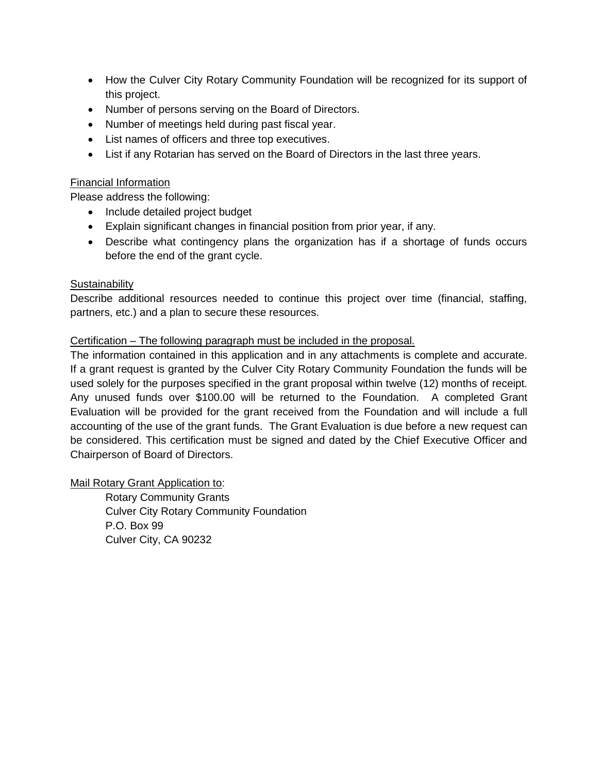- How the Culver City Rotary Community Foundation will be recognized for its support of this project.
- Number of persons serving on the Board of Directors.
- Number of meetings held during past fiscal year.
- List names of officers and three top executives.
- List if any Rotarian has served on the Board of Directors in the last three years.

### Financial Information

Please address the following:

- Include detailed project budget
- Explain significant changes in financial position from prior year, if any.
- Describe what contingency plans the organization has if a shortage of funds occurs before the end of the grant cycle.

### **Sustainability**

Describe additional resources needed to continue this project over time (financial, staffing, partners, etc.) and a plan to secure these resources.

### Certification – The following paragraph must be included in the proposal.

The information contained in this application and in any attachments is complete and accurate. If a grant request is granted by the Culver City Rotary Community Foundation the funds will be used solely for the purposes specified in the grant proposal within twelve (12) months of receipt. Any unused funds over \$100.00 will be returned to the Foundation. A completed Grant Evaluation will be provided for the grant received from the Foundation and will include a full accounting of the use of the grant funds. The Grant Evaluation is due before a new request can be considered. This certification must be signed and dated by the Chief Executive Officer and Chairperson of Board of Directors.

### Mail Rotary Grant Application to:

Rotary Community Grants Culver City Rotary Community Foundation P.O. Box 99 Culver City, CA 90232